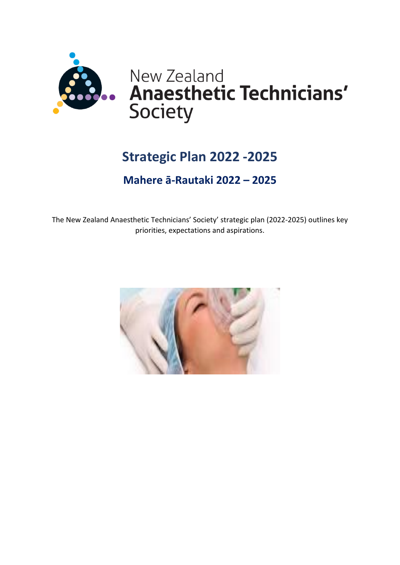

# **Strategic Plan 2022 -2025**

## **Mahere ā-Rautaki 2022 – 2025**

The New Zealand Anaesthetic Technicians' Society' strategic plan (2022-2025) outlines key priorities, expectations and aspirations.

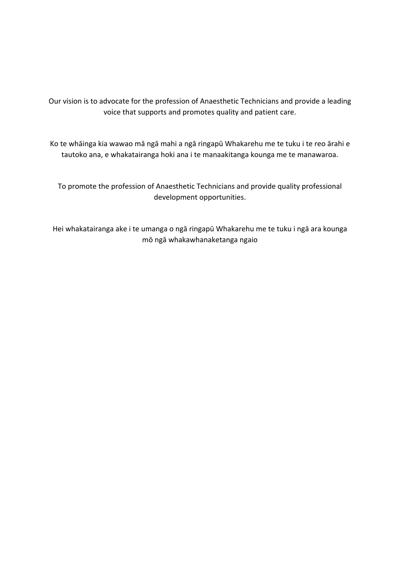Our vision is to advocate for the profession of Anaesthetic Technicians and provide a leading voice that supports and promotes quality and patient care.

Ko te whāinga kia wawao mā ngā mahi a ngā ringapū Whakarehu me te tuku i te reo ārahi e tautoko ana, e whakatairanga hoki ana i te manaakitanga kounga me te manawaroa.

To promote the profession of Anaesthetic Technicians and provide quality professional development opportunities.

Hei whakatairanga ake i te umanga o ngā ringapū Whakarehu me te tuku i ngā ara kounga mō ngā whakawhanaketanga ngaio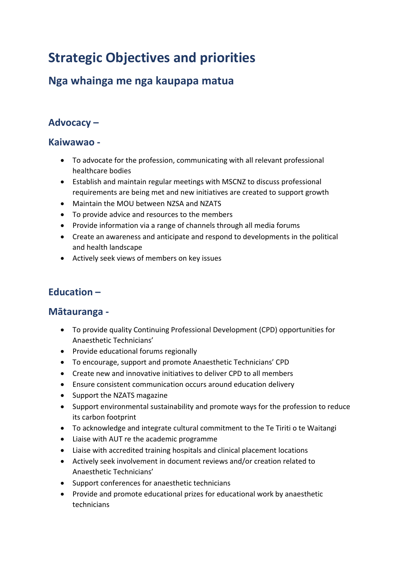# **Strategic Objectives and priorities**

## **Nga whainga me nga kaupapa matua**

## **Advocacy –**

#### **Kaiwawao -**

- To advocate for the profession, communicating with all relevant professional healthcare bodies
- Establish and maintain regular meetings with MSCNZ to discuss professional requirements are being met and new initiatives are created to support growth
- Maintain the MOU between NZSA and NZATS
- To provide advice and resources to the members
- Provide information via a range of channels through all media forums
- Create an awareness and anticipate and respond to developments in the political and health landscape
- Actively seek views of members on key issues

## **Education –**

#### **Mātauranga -**

- To provide quality Continuing Professional Development (CPD) opportunities for Anaesthetic Technicians'
- Provide educational forums regionally
- To encourage, support and promote Anaesthetic Technicians' CPD
- Create new and innovative initiatives to deliver CPD to all members
- Ensure consistent communication occurs around education delivery
- Support the NZATS magazine
- Support environmental sustainability and promote ways for the profession to reduce its carbon footprint
- To acknowledge and integrate cultural commitment to the Te Tiriti o te Waitangi
- Liaise with AUT re the academic programme
- Liaise with accredited training hospitals and clinical placement locations
- Actively seek involvement in document reviews and/or creation related to Anaesthetic Technicians'
- Support conferences for anaesthetic technicians
- Provide and promote educational prizes for educational work by anaesthetic technicians